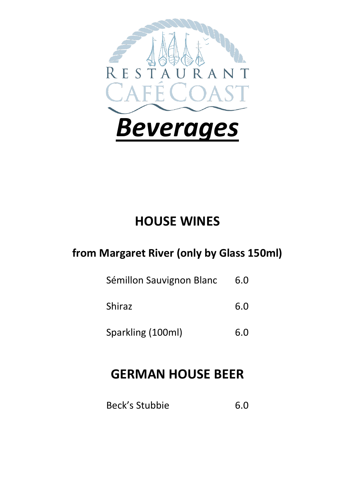

# **HOUSE WINES**

## **from Margaret River (only by Glass 150ml)**

- Sémillon Sauvignon Blanc 6.0
- Shiraz 6.0
- Sparkling (100ml) 6.0

# **GERMAN HOUSE BEER**

Beck's Stubbie 6.0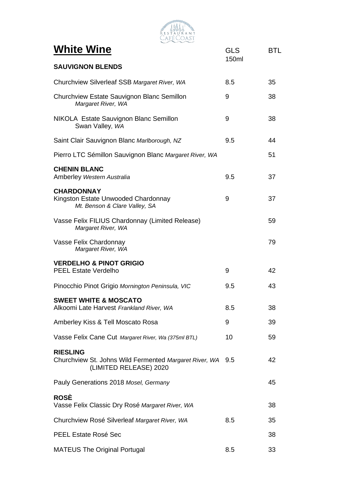| <b>RESTAURANT</b><br>afe Coast                                                                          |            |            |
|---------------------------------------------------------------------------------------------------------|------------|------------|
| <b>White Wine</b>                                                                                       | <b>GLS</b> | <b>BTL</b> |
| <b>SAUVIGNON BLENDS</b>                                                                                 | 150ml      |            |
| Churchview Silverleaf SSB Margaret River, WA                                                            | 8.5        | 35         |
| Churchview Estate Sauvignon Blanc Semillon<br>Margaret River, WA                                        | 9          | 38         |
| NIKOLA Estate Sauvignon Blanc Semillon<br>Swan Valley, WA                                               | 9          | 38         |
| Saint Clair Sauvignon Blanc Marlborough, NZ                                                             | 9.5        | 44         |
| Pierro LTC Sémillon Sauvignon Blanc Margaret River, WA                                                  |            | 51         |
| <b>CHENIN BLANC</b><br>Amberley Western Australia                                                       | 9.5        | 37         |
| <b>CHARDONNAY</b><br>Kingston Estate Unwooded Chardonnay<br>Mt. Benson & Clare Valley, SA               | 9          | 37         |
| Vasse Felix FILIUS Chardonnay (Limited Release)<br>Margaret River, WA                                   |            | 59         |
| Vasse Felix Chardonnay<br>Margaret River, WA                                                            |            | 79         |
| <b>VERDELHO &amp; PINOT GRIGIO</b><br><b>PEEL Estate Verdelho</b>                                       | 9          | 42         |
| Pinocchio Pinot Grigio Mornington Peninsula, VIC                                                        | 9.5        | 43         |
| <b>SWEET WHITE &amp; MOSCATO</b><br>Alkoomi Late Harvest Frankland River, WA                            | 8.5        | 38         |
| Amberley Kiss & Tell Moscato Rosa                                                                       | 9          | 39         |
| Vasse Felix Cane Cut Margaret River, Wa (375ml BTL)                                                     | 10         | 59         |
| <b>RIESLING</b><br>Churchview St. Johns Wild Fermented Margaret River, WA 9.5<br>(LIMITED RELEASE) 2020 |            | 42         |
| Pauly Generations 2018 Mosel, Germany                                                                   |            | 45         |
| <b>ROSÈ</b><br>Vasse Felix Classic Dry Rosé Margaret River, WA                                          |            | 38         |
| Churchview Rosé Silverleaf Margaret River, WA                                                           | 8.5        | 35         |
| PEEL Estate Rosé Sec                                                                                    |            | 38         |
| <b>MATEUS The Original Portugal</b>                                                                     | 8.5        | 33         |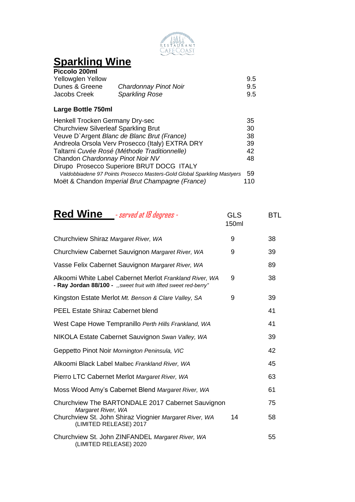

## **Sparkling Wine**

| Piccolo 200ml            |                       |     |
|--------------------------|-----------------------|-----|
| <b>Yellowglen Yellow</b> |                       | 9.5 |
| Dunes & Greene           | Chardonnay Pinot Noir | 9.5 |
| Jacobs Creek             | <b>Sparkling Rose</b> | 9.5 |

#### **Large Bottle 750ml**

| Henkell Trocken Germany Dry-sec                                         | 35  |
|-------------------------------------------------------------------------|-----|
| <b>Churchview Silverleaf Sparkling Brut</b>                             | 30  |
| Veuve D'Argent Blanc de Blanc Brut (France)                             | 38  |
| Andreola Orsola Verv Prosecco (Italy) EXTRA DRY                         | 39  |
| Taltarni Cuvée Rosé (Méthode Traditionnelle)                            | 42  |
| Chandon Chardonnay Pinot Noir NV                                        | 48  |
| Dirupo Prosecco Superiore BRUT DOCG ITALY                               |     |
| Valdobbiadene 97 Points Prosecco Masters-Gold Global Sparkling Mastyers | 59  |
| Moët & Chandon Imperial Brut Champagne (France)                         | 110 |

| <b>Red Wine</b><br>- served at 18 degrees -       | GLS<br>150ml | BTL. |
|---------------------------------------------------|--------------|------|
| Churchview Shiraz Margaret River, WA              | 9            | 38   |
| Churchview Cabernet Sauvignon Margaret River, WA  | 9            | 39   |
| Vasse Felix Cabernet Sauvignon Margaret River, WA |              | 89   |

| Alkoomi White Label Cabernet Merlot Frankland River, WA<br>- Ray Jordan 88/100 - ", sweet fruit with lifted sweet red-berry" | 9  | 38 |
|------------------------------------------------------------------------------------------------------------------------------|----|----|
| Kingston Estate Merlot Mt. Benson & Clare Valley, SA                                                                         | 9  | 39 |
| <b>PEEL Estate Shiraz Cabernet blend</b>                                                                                     |    | 41 |
| West Cape Howe Tempranillo Perth Hills Frankland, WA                                                                         |    | 41 |
| NIKOLA Estate Cabernet Sauvignon Swan Valley, WA                                                                             |    | 39 |
| Geppetto Pinot Noir Mornington Peninsula, VIC                                                                                |    | 42 |
| Alkoomi Black Label Malbec Frankland River, WA                                                                               |    | 45 |
| Pierro LTC Cabernet Merlot Margaret River, WA                                                                                |    | 63 |
| Moss Wood Amy's Cabernet Blend Margaret River, WA                                                                            |    | 61 |
| Churchview The BARTONDALE 2017 Cabernet Sauvignon                                                                            |    | 75 |
| Margaret River, WA<br>Churchview St. John Shiraz Viognier Margaret River, WA<br>(LIMITED RELEASE) 2017                       | 14 | 58 |
| Churchview St. John ZINFANDEL Margaret River, WA<br>(LIMITED RELEASE) 2020                                                   |    | 55 |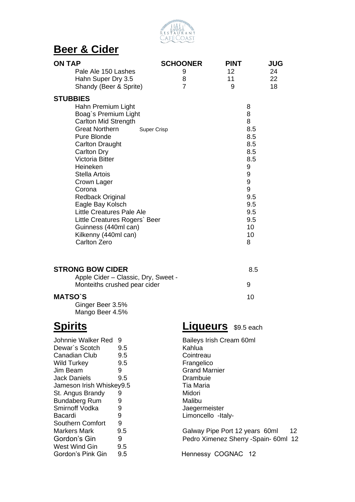

#### **Beer & Cider**

| <b>ON TAP</b>                                                                                                                                                                                                                                                                                                  | <b>SCHOONER</b>          | <b>PINT</b>                                                                              | <b>JUG</b>     |
|----------------------------------------------------------------------------------------------------------------------------------------------------------------------------------------------------------------------------------------------------------------------------------------------------------------|--------------------------|------------------------------------------------------------------------------------------|----------------|
| Pale Ale 150 Lashes<br>Hahn Super Dry 3.5<br>Shandy (Beer & Sprite)                                                                                                                                                                                                                                            | 9<br>8<br>$\overline{7}$ | 12 <sup>2</sup><br>11<br>9                                                               | 24<br>22<br>18 |
| <b>STUBBIES</b><br>Hahn Premium Light<br>Boag's Premium Light<br>Carlton Mid Strength<br><b>Great Northern</b><br>Super Crisp<br>Pure Blonde<br><b>Carlton Draught</b><br><b>Carlton Dry</b><br><b>Victoria Bitter</b><br>Heineken<br><b>Stella Artois</b><br>Crown Lager<br>Corona<br><b>Redback Original</b> |                          | 8<br>8<br>8<br>8.5<br>8.5<br>8.5<br>8.5<br>8.5<br>$\boldsymbol{9}$<br>9<br>9<br>9<br>9.5 |                |
| Eagle Bay Kolsch<br>Little Creatures Pale Ale<br>Little Creatures Rogers' Beer<br>Guinness (440ml can)<br>Kilkenny (440ml can)<br>Carlton Zero                                                                                                                                                                 |                          | 9.5<br>9.5<br>9.5<br>10<br>10<br>8                                                       |                |
| <b>STRONG BOW CIDER</b><br>Apple Cider - Classic, Dry, Sweet -<br>Monteiths crushed pear cider                                                                                                                                                                                                                 |                          | 8.5<br>9                                                                                 |                |
| <b>MATSO'S</b><br>Ginger Beer 3.5%<br>Mango Beer 4.5%                                                                                                                                                                                                                                                          |                          | 10                                                                                       |                |

| Johnnie Walker Red       | 9   |
|--------------------------|-----|
| Dewar's Scotch           | 9.5 |
| Canadian Club            | 9.5 |
| <b>Wild Turkey</b>       | 9.5 |
| Jim Beam                 | 9   |
| Jack Daniels             | 9.5 |
| Jameson Irish Whiskey9.5 |     |
| St. Angus Brandy         | 9   |
| <b>Bundaberg Rum</b>     | 9   |
| Smirnoff Vodka           | 9   |
| Bacardi                  | 9   |
| Southern Comfort         | 9   |
| Markers Mark             | 9.5 |
| Gordon's Gin             | 9   |
| West Wind Gin            | 9.5 |
| Gordon's Pink Gin        | 9.5 |

## **Spirits Liqueurs** \$9.5 each

Baileys Irish Cream 60ml Kahlua **Cointreau** Frangelico **Grand Marnier** Drambuie Tia Maria **Midori** Malibu Jaegermeister Limoncello -Italy-

Galway Pipe Port 12 years 60ml 12 Pedro Ximenez Sherry -Spain- 60ml 12

Hennessy COGNAC 12